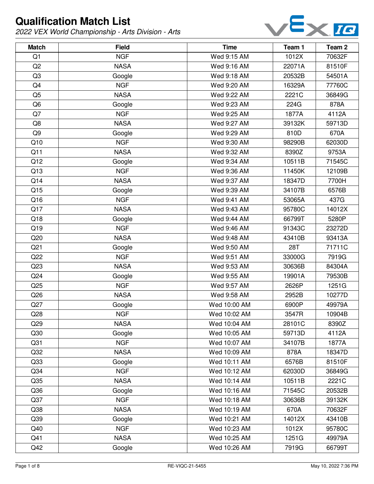

| <b>Match</b>    | <b>Field</b> | <b>Time</b>  | Team 1 | Team <sub>2</sub> |
|-----------------|--------------|--------------|--------|-------------------|
| Q1              | <b>NGF</b>   | Wed 9:15 AM  | 1012X  | 70632F            |
| Q2              | <b>NASA</b>  | Wed 9:16 AM  | 22071A | 81510F            |
| Q3              | Google       | Wed 9:18 AM  | 20532B | 54501A            |
| Q4              | <b>NGF</b>   | Wed 9:20 AM  | 16329A | 77760C            |
| Q <sub>5</sub>  | <b>NASA</b>  | Wed 9:22 AM  | 2221C  | 36849G            |
| Q <sub>6</sub>  | Google       | Wed 9:23 AM  | 224G   | 878A              |
| Q7              | <b>NGF</b>   | Wed 9:25 AM  | 1877A  | 4112A             |
| Q8              | <b>NASA</b>  | Wed 9:27 AM  | 39132K | 59713D            |
| Q9              | Google       | Wed 9:29 AM  | 810D   | 670A              |
| Q10             | <b>NGF</b>   | Wed 9:30 AM  | 98290B | 62030D            |
| Q11             | <b>NASA</b>  | Wed 9:32 AM  | 8390Z  | 9753A             |
| Q12             | Google       | Wed 9:34 AM  | 10511B | 71545C            |
| Q13             | <b>NGF</b>   | Wed 9:36 AM  | 11450K | 12109B            |
| Q14             | <b>NASA</b>  | Wed 9:37 AM  | 18347D | 7700H             |
| Q15             | Google       | Wed 9:39 AM  | 34107B | 6576B             |
| Q16             | <b>NGF</b>   | Wed 9:41 AM  | 53065A | 437G              |
| Q17             | <b>NASA</b>  | Wed 9:43 AM  | 95780C | 14012X            |
| Q18             | Google       | Wed 9:44 AM  | 66799T | 5280P             |
| Q19             | <b>NGF</b>   | Wed 9:46 AM  | 91343C | 23272D            |
| Q20             | <b>NASA</b>  | Wed 9:48 AM  | 43410B | 93413A            |
| Q21             | Google       | Wed 9:50 AM  | 28T    | 71711C            |
| Q22             | <b>NGF</b>   | Wed 9:51 AM  | 33000G | 7919G             |
| Q23             | <b>NASA</b>  | Wed 9:53 AM  | 30636B | 84304A            |
| Q24             | Google       | Wed 9:55 AM  | 19901A | 79530B            |
| Q25             | <b>NGF</b>   | Wed 9:57 AM  | 2626P  | 1251G             |
| Q26             | <b>NASA</b>  | Wed 9:58 AM  | 2952B  | 10277D            |
| Q27             | Google       | Wed 10:00 AM | 6900P  | 49979A            |
| Q28             | <b>NGF</b>   | Wed 10:02 AM | 3547R  | 10904B            |
| Q29             | <b>NASA</b>  | Wed 10:04 AM | 28101C | 8390Z             |
| Q30             | Google       | Wed 10:05 AM | 59713D | 4112A             |
| Q <sub>31</sub> | <b>NGF</b>   | Wed 10:07 AM | 34107B | 1877A             |
| Q <sub>32</sub> | <b>NASA</b>  | Wed 10:09 AM | 878A   | 18347D            |
| Q33             | Google       | Wed 10:11 AM | 6576B  | 81510F            |
| Q34             | <b>NGF</b>   | Wed 10:12 AM | 62030D | 36849G            |
| Q35             | <b>NASA</b>  | Wed 10:14 AM | 10511B | 2221C             |
| Q36             | Google       | Wed 10:16 AM | 71545C | 20532B            |
| Q <sub>37</sub> | <b>NGF</b>   | Wed 10:18 AM | 30636B | 39132K            |
| Q38             | <b>NASA</b>  | Wed 10:19 AM | 670A   | 70632F            |
| Q39             | Google       | Wed 10:21 AM | 14012X | 43410B            |
| Q40             | <b>NGF</b>   | Wed 10:23 AM | 1012X  | 95780C            |
| Q41             | <b>NASA</b>  | Wed 10:25 AM | 1251G  | 49979A            |
| Q42             | Google       | Wed 10:26 AM | 7919G  | 66799T            |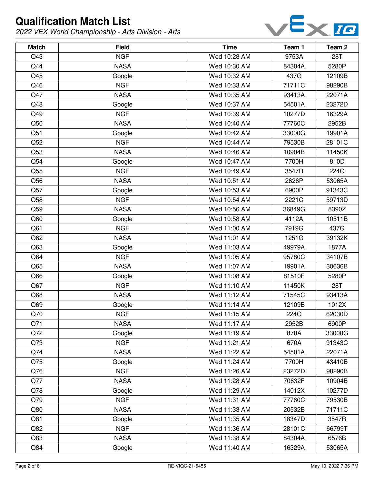

| <b>Match</b> | <b>Field</b> | <b>Time</b>  | Team 1 | Team <sub>2</sub> |
|--------------|--------------|--------------|--------|-------------------|
| Q43          | <b>NGF</b>   | Wed 10:28 AM | 9753A  | 28T               |
| Q44          | <b>NASA</b>  | Wed 10:30 AM | 84304A | 5280P             |
| Q45          | Google       | Wed 10:32 AM | 437G   | 12109B            |
| Q46          | <b>NGF</b>   | Wed 10:33 AM | 71711C | 98290B            |
| Q47          | <b>NASA</b>  | Wed 10:35 AM | 93413A | 22071A            |
| Q48          | Google       | Wed 10:37 AM | 54501A | 23272D            |
| Q49          | <b>NGF</b>   | Wed 10:39 AM | 10277D | 16329A            |
| Q50          | <b>NASA</b>  | Wed 10:40 AM | 77760C | 2952B             |
| Q51          | Google       | Wed 10:42 AM | 33000G | 19901A            |
| Q52          | <b>NGF</b>   | Wed 10:44 AM | 79530B | 28101C            |
| Q53          | <b>NASA</b>  | Wed 10:46 AM | 10904B | 11450K            |
| Q54          | Google       | Wed 10:47 AM | 7700H  | 810D              |
| Q55          | <b>NGF</b>   | Wed 10:49 AM | 3547R  | 224G              |
| Q56          | <b>NASA</b>  | Wed 10:51 AM | 2626P  | 53065A            |
| Q57          | Google       | Wed 10:53 AM | 6900P  | 91343C            |
| Q58          | <b>NGF</b>   | Wed 10:54 AM | 2221C  | 59713D            |
| Q59          | <b>NASA</b>  | Wed 10:56 AM | 36849G | 8390Z             |
| Q60          | Google       | Wed 10:58 AM | 4112A  | 10511B            |
| Q61          | <b>NGF</b>   | Wed 11:00 AM | 7919G  | 437G              |
| Q62          | <b>NASA</b>  | Wed 11:01 AM | 1251G  | 39132K            |
| Q63          | Google       | Wed 11:03 AM | 49979A | 1877A             |
| Q64          | <b>NGF</b>   | Wed 11:05 AM | 95780C | 34107B            |
| Q65          | <b>NASA</b>  | Wed 11:07 AM | 19901A | 30636B            |
| Q66          | Google       | Wed 11:08 AM | 81510F | 5280P             |
| Q67          | <b>NGF</b>   | Wed 11:10 AM | 11450K | 28T               |
| Q68          | <b>NASA</b>  | Wed 11:12 AM | 71545C | 93413A            |
| Q69          | Google       | Wed 11:14 AM | 12109B | 1012X             |
| Q70          | <b>NGF</b>   | Wed 11:15 AM | 224G   | 62030D            |
| Q71          | <b>NASA</b>  | Wed 11:17 AM | 2952B  | 6900P             |
| Q72          | Google       | Wed 11:19 AM | 878A   | 33000G            |
| Q73          | <b>NGF</b>   | Wed 11:21 AM | 670A   | 91343C            |
| Q74          | <b>NASA</b>  | Wed 11:22 AM | 54501A | 22071A            |
| Q75          | Google       | Wed 11:24 AM | 7700H  | 43410B            |
| Q76          | <b>NGF</b>   | Wed 11:26 AM | 23272D | 98290B            |
| Q77          | <b>NASA</b>  | Wed 11:28 AM | 70632F | 10904B            |
| Q78          | Google       | Wed 11:29 AM | 14012X | 10277D            |
| Q79          | <b>NGF</b>   | Wed 11:31 AM | 77760C | 79530B            |
| Q80          | <b>NASA</b>  | Wed 11:33 AM | 20532B | 71711C            |
| Q81          | Google       | Wed 11:35 AM | 18347D | 3547R             |
| Q82          | <b>NGF</b>   | Wed 11:36 AM | 28101C | 66799T            |
| Q83          | <b>NASA</b>  | Wed 11:38 AM | 84304A | 6576B             |
| Q84          | Google       | Wed 11:40 AM | 16329A | 53065A            |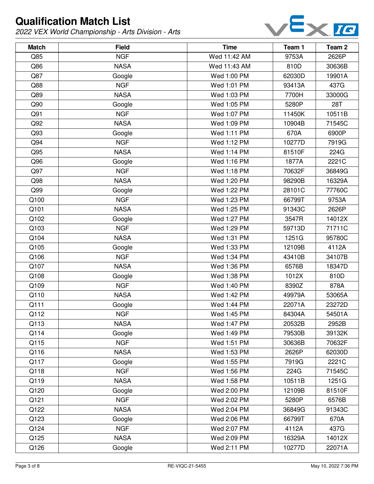

| <b>Match</b> | <b>Field</b> | <b>Time</b>  | Team 1 | Team <sub>2</sub> |
|--------------|--------------|--------------|--------|-------------------|
| Q85          | <b>NGF</b>   | Wed 11:42 AM | 9753A  | 2626P             |
| Q86          | <b>NASA</b>  | Wed 11:43 AM | 810D   | 30636B            |
| Q87          | Google       | Wed 1:00 PM  | 62030D | 19901A            |
| Q88          | <b>NGF</b>   | Wed 1:01 PM  | 93413A | 437G              |
| Q89          | <b>NASA</b>  | Wed 1:03 PM  | 7700H  | 33000G            |
| Q90          | Google       | Wed 1:05 PM  | 5280P  | <b>28T</b>        |
| Q91          | <b>NGF</b>   | Wed 1:07 PM  | 11450K | 10511B            |
| Q92          | <b>NASA</b>  | Wed 1:09 PM  | 10904B | 71545C            |
| Q93          | Google       | Wed 1:11 PM  | 670A   | 6900P             |
| Q94          | <b>NGF</b>   | Wed 1:12 PM  | 10277D | 7919G             |
| Q95          | <b>NASA</b>  | Wed 1:14 PM  | 81510F | 224G              |
| Q96          | Google       | Wed 1:16 PM  | 1877A  | 2221C             |
| Q97          | <b>NGF</b>   | Wed 1:18 PM  | 70632F | 36849G            |
| Q98          | <b>NASA</b>  | Wed 1:20 PM  | 98290B | 16329A            |
| Q99          | Google       | Wed 1:22 PM  | 28101C | 77760C            |
| Q100         | <b>NGF</b>   | Wed 1:23 PM  | 66799T | 9753A             |
| Q101         | <b>NASA</b>  | Wed 1:25 PM  | 91343C | 2626P             |
| Q102         | Google       | Wed 1:27 PM  | 3547R  | 14012X            |
| Q103         | <b>NGF</b>   | Wed 1:29 PM  | 59713D | 71711C            |
| Q104         | <b>NASA</b>  | Wed 1:31 PM  | 1251G  | 95780C            |
| Q105         | Google       | Wed 1:33 PM  | 12109B | 4112A             |
| Q106         | <b>NGF</b>   | Wed 1:34 PM  | 43410B | 34107B            |
| Q107         | <b>NASA</b>  | Wed 1:36 PM  | 6576B  | 18347D            |
| Q108         | Google       | Wed 1:38 PM  | 1012X  | 810D              |
| Q109         | <b>NGF</b>   | Wed 1:40 PM  | 8390Z  | 878A              |
| Q110         | <b>NASA</b>  | Wed 1:42 PM  | 49979A | 53065A            |
| Q111         | Google       | Wed 1:44 PM  | 22071A | 23272D            |
| Q112         | <b>NGF</b>   | Wed 1:45 PM  | 84304A | 54501A            |
| Q113         | <b>NASA</b>  | Wed 1:47 PM  | 20532B | 2952B             |
| Q114         | Google       | Wed 1:49 PM  | 79530B | 39132K            |
| Q115         | <b>NGF</b>   | Wed 1:51 PM  | 30636B | 70632F            |
| Q116         | <b>NASA</b>  | Wed 1:53 PM  | 2626P  | 62030D            |
| Q117         | Google       | Wed 1:55 PM  | 7919G  | 2221C             |
| Q118         | <b>NGF</b>   | Wed 1:56 PM  | 224G   | 71545C            |
| Q119         | <b>NASA</b>  | Wed 1:58 PM  | 10511B | 1251G             |
| Q120         | Google       | Wed 2:00 PM  | 12109B | 81510F            |
| Q121         | <b>NGF</b>   | Wed 2:02 PM  | 5280P  | 6576B             |
| Q122         | <b>NASA</b>  | Wed 2:04 PM  | 36849G | 91343C            |
| Q123         | Google       | Wed 2:06 PM  | 66799T | 670A              |
| Q124         | <b>NGF</b>   | Wed 2:07 PM  | 4112A  | 437G              |
| Q125         | <b>NASA</b>  | Wed 2:09 PM  | 16329A | 14012X            |
| Q126         | Google       | Wed 2:11 PM  | 10277D | 22071A            |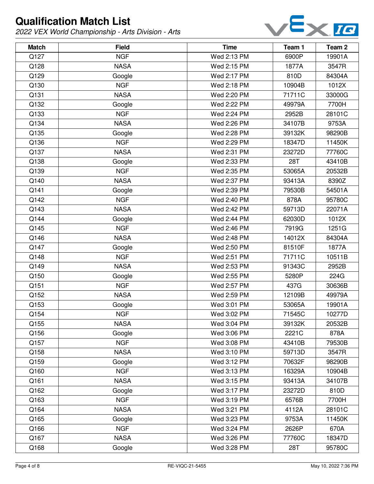

| <b>Match</b> | <b>Field</b> | <b>Time</b> | Team 1 | Team <sub>2</sub> |
|--------------|--------------|-------------|--------|-------------------|
| Q127         | <b>NGF</b>   | Wed 2:13 PM | 6900P  | 19901A            |
| Q128         | <b>NASA</b>  | Wed 2:15 PM | 1877A  | 3547R             |
| Q129         | Google       | Wed 2:17 PM | 810D   | 84304A            |
| Q130         | <b>NGF</b>   | Wed 2:18 PM | 10904B | 1012X             |
| Q131         | <b>NASA</b>  | Wed 2:20 PM | 71711C | 33000G            |
| Q132         | Google       | Wed 2:22 PM | 49979A | 7700H             |
| Q133         | <b>NGF</b>   | Wed 2:24 PM | 2952B  | 28101C            |
| Q134         | <b>NASA</b>  | Wed 2:26 PM | 34107B | 9753A             |
| Q135         | Google       | Wed 2:28 PM | 39132K | 98290B            |
| Q136         | <b>NGF</b>   | Wed 2:29 PM | 18347D | 11450K            |
| Q137         | <b>NASA</b>  | Wed 2:31 PM | 23272D | 77760C            |
| Q138         | Google       | Wed 2:33 PM | 28T    | 43410B            |
| Q139         | <b>NGF</b>   | Wed 2:35 PM | 53065A | 20532B            |
| Q140         | <b>NASA</b>  | Wed 2:37 PM | 93413A | 8390Z             |
| Q141         | Google       | Wed 2:39 PM | 79530B | 54501A            |
| Q142         | <b>NGF</b>   | Wed 2:40 PM | 878A   | 95780C            |
| Q143         | <b>NASA</b>  | Wed 2:42 PM | 59713D | 22071A            |
| Q144         | Google       | Wed 2:44 PM | 62030D | 1012X             |
| Q145         | <b>NGF</b>   | Wed 2:46 PM | 7919G  | 1251G             |
| Q146         | <b>NASA</b>  | Wed 2:48 PM | 14012X | 84304A            |
| Q147         | Google       | Wed 2:50 PM | 81510F | 1877A             |
| Q148         | <b>NGF</b>   | Wed 2:51 PM | 71711C | 10511B            |
| Q149         | <b>NASA</b>  | Wed 2:53 PM | 91343C | 2952B             |
| Q150         | Google       | Wed 2:55 PM | 5280P  | 224G              |
| Q151         | <b>NGF</b>   | Wed 2:57 PM | 437G   | 30636B            |
| Q152         | <b>NASA</b>  | Wed 2:59 PM | 12109B | 49979A            |
| Q153         | Google       | Wed 3:01 PM | 53065A | 19901A            |
| Q154         | <b>NGF</b>   | Wed 3:02 PM | 71545C | 10277D            |
| Q155         | <b>NASA</b>  | Wed 3:04 PM | 39132K | 20532B            |
| Q156         | Google       | Wed 3:06 PM | 2221C  | 878A              |
| Q157         | <b>NGF</b>   | Wed 3:08 PM | 43410B | 79530B            |
| Q158         | <b>NASA</b>  | Wed 3:10 PM | 59713D | 3547R             |
| Q159         | Google       | Wed 3:12 PM | 70632F | 98290B            |
| Q160         | <b>NGF</b>   | Wed 3:13 PM | 16329A | 10904B            |
| Q161         | <b>NASA</b>  | Wed 3:15 PM | 93413A | 34107B            |
| Q162         | Google       | Wed 3:17 PM | 23272D | 810D              |
| Q163         | <b>NGF</b>   | Wed 3:19 PM | 6576B  | 7700H             |
| Q164         | <b>NASA</b>  | Wed 3:21 PM | 4112A  | 28101C            |
| Q165         | Google       | Wed 3:23 PM | 9753A  | 11450K            |
| Q166         | <b>NGF</b>   | Wed 3:24 PM | 2626P  | 670A              |
| Q167         | <b>NASA</b>  | Wed 3:26 PM | 77760C | 18347D            |
| Q168         | Google       | Wed 3:28 PM | 28T    | 95780C            |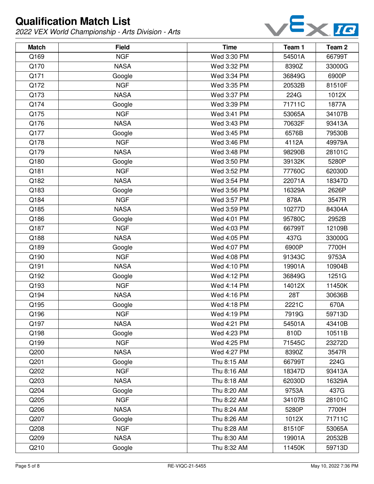

| <b>Match</b> | <b>Field</b> | <b>Time</b> | Team 1 | Team <sub>2</sub> |
|--------------|--------------|-------------|--------|-------------------|
| Q169         | <b>NGF</b>   | Wed 3:30 PM | 54501A | 66799T            |
| Q170         | <b>NASA</b>  | Wed 3:32 PM | 8390Z  | 33000G            |
| Q171         | Google       | Wed 3:34 PM | 36849G | 6900P             |
| Q172         | <b>NGF</b>   | Wed 3:35 PM | 20532B | 81510F            |
| Q173         | <b>NASA</b>  | Wed 3:37 PM | 224G   | 1012X             |
| Q174         | Google       | Wed 3:39 PM | 71711C | 1877A             |
| Q175         | <b>NGF</b>   | Wed 3:41 PM | 53065A | 34107B            |
| Q176         | <b>NASA</b>  | Wed 3:43 PM | 70632F | 93413A            |
| Q177         | Google       | Wed 3:45 PM | 6576B  | 79530B            |
| Q178         | <b>NGF</b>   | Wed 3:46 PM | 4112A  | 49979A            |
| Q179         | <b>NASA</b>  | Wed 3:48 PM | 98290B | 28101C            |
| Q180         | Google       | Wed 3:50 PM | 39132K | 5280P             |
| Q181         | <b>NGF</b>   | Wed 3:52 PM | 77760C | 62030D            |
| Q182         | <b>NASA</b>  | Wed 3:54 PM | 22071A | 18347D            |
| Q183         | Google       | Wed 3:56 PM | 16329A | 2626P             |
| Q184         | <b>NGF</b>   | Wed 3:57 PM | 878A   | 3547R             |
| Q185         | <b>NASA</b>  | Wed 3:59 PM | 10277D | 84304A            |
| Q186         | Google       | Wed 4:01 PM | 95780C | 2952B             |
| Q187         | <b>NGF</b>   | Wed 4:03 PM | 66799T | 12109B            |
| Q188         | <b>NASA</b>  | Wed 4:05 PM | 437G   | 33000G            |
| Q189         | Google       | Wed 4:07 PM | 6900P  | 7700H             |
| Q190         | <b>NGF</b>   | Wed 4:08 PM | 91343C | 9753A             |
| Q191         | <b>NASA</b>  | Wed 4:10 PM | 19901A | 10904B            |
| Q192         | Google       | Wed 4:12 PM | 36849G | 1251G             |
| Q193         | <b>NGF</b>   | Wed 4:14 PM | 14012X | 11450K            |
| Q194         | <b>NASA</b>  | Wed 4:16 PM | 28T    | 30636B            |
| Q195         | Google       | Wed 4:18 PM | 2221C  | 670A              |
| Q196         | <b>NGF</b>   | Wed 4:19 PM | 7919G  | 59713D            |
| Q197         | <b>NASA</b>  | Wed 4:21 PM | 54501A | 43410B            |
| Q198         | Google       | Wed 4:23 PM | 810D   | 10511B            |
| Q199         | <b>NGF</b>   | Wed 4:25 PM | 71545C | 23272D            |
| Q200         | <b>NASA</b>  | Wed 4:27 PM | 8390Z  | 3547R             |
| Q201         | Google       | Thu 8:15 AM | 66799T | 224G              |
| Q202         | <b>NGF</b>   | Thu 8:16 AM | 18347D | 93413A            |
| Q203         | <b>NASA</b>  | Thu 8:18 AM | 62030D | 16329A            |
| Q204         | Google       | Thu 8:20 AM | 9753A  | 437G              |
| Q205         | <b>NGF</b>   | Thu 8:22 AM | 34107B | 28101C            |
| Q206         | <b>NASA</b>  | Thu 8:24 AM | 5280P  | 7700H             |
| Q207         | Google       | Thu 8:26 AM | 1012X  | 71711C            |
| Q208         | <b>NGF</b>   | Thu 8:28 AM | 81510F | 53065A            |
| Q209         | <b>NASA</b>  | Thu 8:30 AM | 19901A | 20532B            |
| Q210         | Google       | Thu 8:32 AM | 11450K | 59713D            |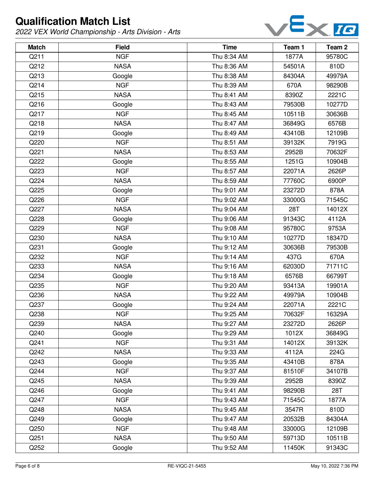

| <b>Match</b> | <b>Field</b> | <b>Time</b> | Team 1 | Team <sub>2</sub> |
|--------------|--------------|-------------|--------|-------------------|
| Q211         | <b>NGF</b>   | Thu 8:34 AM | 1877A  | 95780C            |
| Q212         | <b>NASA</b>  | Thu 8:36 AM | 54501A | 810D              |
| Q213         | Google       | Thu 8:38 AM | 84304A | 49979A            |
| Q214         | <b>NGF</b>   | Thu 8:39 AM | 670A   | 98290B            |
| Q215         | <b>NASA</b>  | Thu 8:41 AM | 8390Z  | 2221C             |
| Q216         | Google       | Thu 8:43 AM | 79530B | 10277D            |
| Q217         | <b>NGF</b>   | Thu 8:45 AM | 10511B | 30636B            |
| Q218         | <b>NASA</b>  | Thu 8:47 AM | 36849G | 6576B             |
| Q219         | Google       | Thu 8:49 AM | 43410B | 12109B            |
| Q220         | <b>NGF</b>   | Thu 8:51 AM | 39132K | 7919G             |
| Q221         | <b>NASA</b>  | Thu 8:53 AM | 2952B  | 70632F            |
| Q222         | Google       | Thu 8:55 AM | 1251G  | 10904B            |
| Q223         | <b>NGF</b>   | Thu 8:57 AM | 22071A | 2626P             |
| Q224         | <b>NASA</b>  | Thu 8:59 AM | 77760C | 6900P             |
| Q225         | Google       | Thu 9:01 AM | 23272D | 878A              |
| Q226         | <b>NGF</b>   | Thu 9:02 AM | 33000G | 71545C            |
| Q227         | <b>NASA</b>  | Thu 9:04 AM | 28T    | 14012X            |
| Q228         | Google       | Thu 9:06 AM | 91343C | 4112A             |
| Q229         | <b>NGF</b>   | Thu 9:08 AM | 95780C | 9753A             |
| Q230         | <b>NASA</b>  | Thu 9:10 AM | 10277D | 18347D            |
| Q231         | Google       | Thu 9:12 AM | 30636B | 79530B            |
| Q232         | <b>NGF</b>   | Thu 9:14 AM | 437G   | 670A              |
| Q233         | <b>NASA</b>  | Thu 9:16 AM | 62030D | 71711C            |
| Q234         | Google       | Thu 9:18 AM | 6576B  | 66799T            |
| Q235         | <b>NGF</b>   | Thu 9:20 AM | 93413A | 19901A            |
| Q236         | <b>NASA</b>  | Thu 9:22 AM | 49979A | 10904B            |
| Q237         | Google       | Thu 9:24 AM | 22071A | 2221C             |
| Q238         | <b>NGF</b>   | Thu 9:25 AM | 70632F | 16329A            |
| Q239         | <b>NASA</b>  | Thu 9:27 AM | 23272D | 2626P             |
| Q240         | Google       | Thu 9:29 AM | 1012X  | 36849G            |
| Q241         | <b>NGF</b>   | Thu 9:31 AM | 14012X | 39132K            |
| Q242         | <b>NASA</b>  | Thu 9:33 AM | 4112A  | 224G              |
| Q243         | Google       | Thu 9:35 AM | 43410B | 878A              |
| Q244         | <b>NGF</b>   | Thu 9:37 AM | 81510F | 34107B            |
| Q245         | <b>NASA</b>  | Thu 9:39 AM | 2952B  | 8390Z             |
| Q246         | Google       | Thu 9:41 AM | 98290B | 28T               |
| Q247         | <b>NGF</b>   | Thu 9:43 AM | 71545C | 1877A             |
| Q248         | <b>NASA</b>  | Thu 9:45 AM | 3547R  | 810D              |
| Q249         | Google       | Thu 9:47 AM | 20532B | 84304A            |
| Q250         | <b>NGF</b>   | Thu 9:48 AM | 33000G | 12109B            |
| Q251         | <b>NASA</b>  | Thu 9:50 AM | 59713D | 10511B            |
| Q252         | Google       | Thu 9:52 AM | 11450K | 91343C            |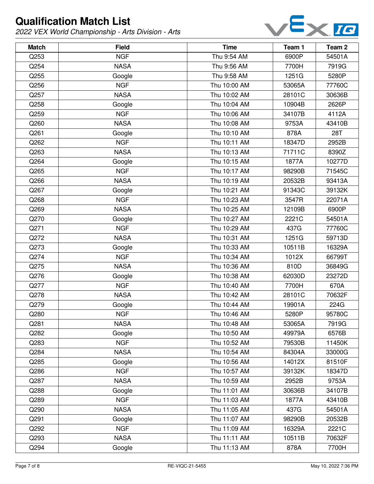

| <b>Match</b> | <b>Field</b> | <b>Time</b>  | Team 1 | Team <sub>2</sub> |
|--------------|--------------|--------------|--------|-------------------|
| Q253         | <b>NGF</b>   | Thu 9:54 AM  | 6900P  | 54501A            |
| Q254         | <b>NASA</b>  | Thu 9:56 AM  | 7700H  | 7919G             |
| Q255         | Google       | Thu 9:58 AM  | 1251G  | 5280P             |
| Q256         | <b>NGF</b>   | Thu 10:00 AM | 53065A | 77760C            |
| Q257         | <b>NASA</b>  | Thu 10:02 AM | 28101C | 30636B            |
| Q258         | Google       | Thu 10:04 AM | 10904B | 2626P             |
| Q259         | <b>NGF</b>   | Thu 10:06 AM | 34107B | 4112A             |
| Q260         | <b>NASA</b>  | Thu 10:08 AM | 9753A  | 43410B            |
| Q261         | Google       | Thu 10:10 AM | 878A   | 28T               |
| Q262         | <b>NGF</b>   | Thu 10:11 AM | 18347D | 2952B             |
| Q263         | <b>NASA</b>  | Thu 10:13 AM | 71711C | 8390Z             |
| Q264         | Google       | Thu 10:15 AM | 1877A  | 10277D            |
| Q265         | <b>NGF</b>   | Thu 10:17 AM | 98290B | 71545C            |
| Q266         | <b>NASA</b>  | Thu 10:19 AM | 20532B | 93413A            |
| Q267         | Google       | Thu 10:21 AM | 91343C | 39132K            |
| Q268         | <b>NGF</b>   | Thu 10:23 AM | 3547R  | 22071A            |
| Q269         | <b>NASA</b>  | Thu 10:25 AM | 12109B | 6900P             |
| Q270         | Google       | Thu 10:27 AM | 2221C  | 54501A            |
| Q271         | <b>NGF</b>   | Thu 10:29 AM | 437G   | 77760C            |
| Q272         | <b>NASA</b>  | Thu 10:31 AM | 1251G  | 59713D            |
| Q273         | Google       | Thu 10:33 AM | 10511B | 16329A            |
| Q274         | <b>NGF</b>   | Thu 10:34 AM | 1012X  | 66799T            |
| Q275         | <b>NASA</b>  | Thu 10:36 AM | 810D   | 36849G            |
| Q276         | Google       | Thu 10:38 AM | 62030D | 23272D            |
| Q277         | <b>NGF</b>   | Thu 10:40 AM | 7700H  | 670A              |
| Q278         | <b>NASA</b>  | Thu 10:42 AM | 28101C | 70632F            |
| Q279         | Google       | Thu 10:44 AM | 19901A | 224G              |
| Q280         | <b>NGF</b>   | Thu 10:46 AM | 5280P  | 95780C            |
| Q281         | <b>NASA</b>  | Thu 10:48 AM | 53065A | 7919G             |
| Q282         | Google       | Thu 10:50 AM | 49979A | 6576B             |
| Q283         | <b>NGF</b>   | Thu 10:52 AM | 79530B | 11450K            |
| Q284         | <b>NASA</b>  | Thu 10:54 AM | 84304A | 33000G            |
| Q285         | Google       | Thu 10:56 AM | 14012X | 81510F            |
| Q286         | <b>NGF</b>   | Thu 10:57 AM | 39132K | 18347D            |
| Q287         | <b>NASA</b>  | Thu 10:59 AM | 2952B  | 9753A             |
| Q288         | Google       | Thu 11:01 AM | 30636B | 34107B            |
| Q289         | <b>NGF</b>   | Thu 11:03 AM | 1877A  | 43410B            |
| Q290         | <b>NASA</b>  | Thu 11:05 AM | 437G   | 54501A            |
| Q291         | Google       | Thu 11:07 AM | 98290B | 20532B            |
| Q292         | <b>NGF</b>   | Thu 11:09 AM | 16329A | 2221C             |
| Q293         | <b>NASA</b>  | Thu 11:11 AM | 10511B | 70632F            |
| Q294         | Google       | Thu 11:13 AM | 878A   | 7700H             |